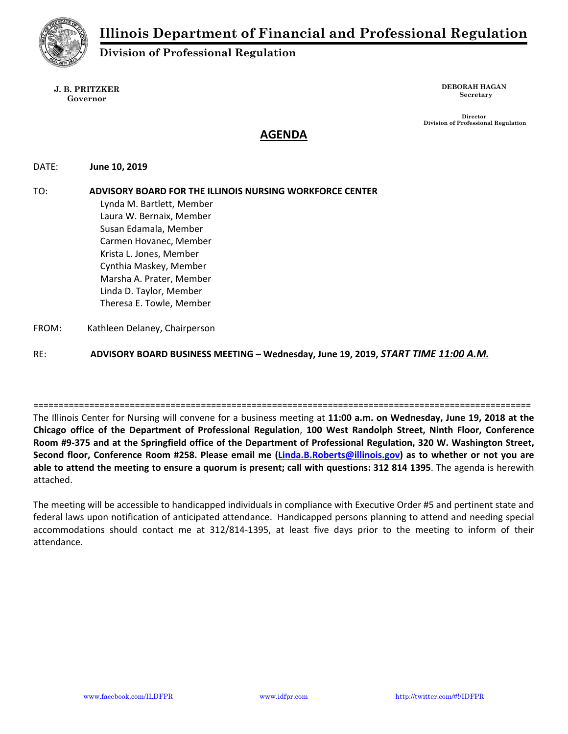

# **Division of Professional Regulation**

#### **J. B. PRITZKER Governor**

**DEBORAH HAGAN Secretary** 

 **Director Division of Professional Regulation** 

# **AGENDA**

## DATE:  **June 10, 2019**

# TO: **ADVISORY BOARD FOR THE ILLINOIS NURSING WORKFORCE CENTER** Lynda M. Bartlett, Member Laura W. Bernaix, Member Susan Edamala, Member Carmen Hovanec, Member Krista L. Jones, Member Cynthia Maskey, Member Marsha A. Prater, Member Linda D. Taylor, Member Theresa E. Towle, Member FROM: Kathleen Delaney, Chairperson

RE: **ADVISORY BOARD BUSINESS MEETING – Wednesday, June 19, 2019,** *START TIME 11:00 A.M.*

================================================================================================== The Illinois Center for Nursing will convene for a business meeting at **11:00 a.m. on Wednesday, June 19, 2018 at the Chicago office of the Department of Professional Regulation**, **100 West Randolph Street, Ninth Floor, Conference Room #9‐375 and at the Springfield office of the Department of Professional Regulation, 320 W. Washington Street, Second floor, Conference Room #258. Please email me (Linda.B.Roberts@illinois.gov) as to whether or not you are able to attend the meeting to ensure a quorum is present; call with questions: 312 814 1395**. The agenda is herewith attached.

The meeting will be accessible to handicapped individuals in compliance with Executive Order #5 and pertinent state and federal laws upon notification of anticipated attendance. Handicapped persons planning to attend and needing special accommodations should contact me at 312/814‐1395, at least five days prior to the meeting to inform of their attendance.